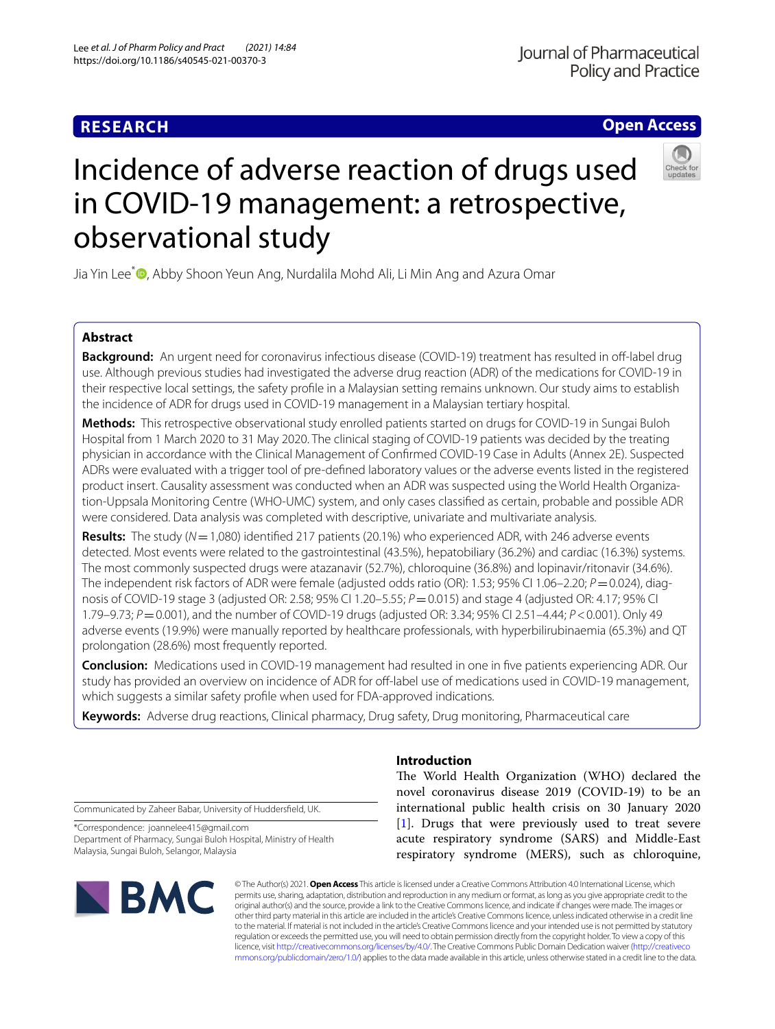# **RESEARCH**

# **Open Access**



# Incidence of adverse reaction of drugs used in COVID-19 management: a retrospective, observational study

Jia Yin Lee<sup>[\\*](http://orcid.org/0000-0003-0082-2437)</sup><sup>®</sup>, Abby Shoon Yeun Ang, Nurdalila Mohd Ali, Li Min Ang and Azura Omar

## **Abstract**

**Background:** An urgent need for coronavirus infectious disease (COVID-19) treatment has resulted in off-label drug use. Although previous studies had investigated the adverse drug reaction (ADR) of the medications for COVID-19 in their respective local settings, the safety profle in a Malaysian setting remains unknown. Our study aims to establish the incidence of ADR for drugs used in COVID-19 management in a Malaysian tertiary hospital.

**Methods:** This retrospective observational study enrolled patients started on drugs for COVID-19 in Sungai Buloh Hospital from 1 March 2020 to 31 May 2020. The clinical staging of COVID-19 patients was decided by the treating physician in accordance with the Clinical Management of Confrmed COVID-19 Case in Adults (Annex 2E). Suspected ADRs were evaluated with a trigger tool of pre-defned laboratory values or the adverse events listed in the registered product insert. Causality assessment was conducted when an ADR was suspected using the World Health Organization-Uppsala Monitoring Centre (WHO-UMC) system, and only cases classifed as certain, probable and possible ADR were considered. Data analysis was completed with descriptive, univariate and multivariate analysis.

**Results:** The study (*N*=1,080) identifed 217 patients (20.1%) who experienced ADR, with 246 adverse events detected. Most events were related to the gastrointestinal (43.5%), hepatobiliary (36.2%) and cardiac (16.3%) systems. The most commonly suspected drugs were atazanavir (52.7%), chloroquine (36.8%) and lopinavir/ritonavir (34.6%). The independent risk factors of ADR were female (adjusted odds ratio (OR): 1.53; 95% CI 1.06–2.20; *P* = 0.024), diagnosis of COVID-19 stage 3 (adjusted OR: 2.58; 95% CI 1.20–5.55; *P*=0.015) and stage 4 (adjusted OR: 4.17; 95% CI 1.79–9.73; *P*=0.001), and the number of COVID-19 drugs (adjusted OR: 3.34; 95% CI 2.51–4.44; *P*<0.001). Only 49 adverse events (19.9%) were manually reported by healthcare professionals, with hyperbilirubinaemia (65.3%) and QT prolongation (28.6%) most frequently reported.

**Conclusion:** Medications used in COVID-19 management had resulted in one in fve patients experiencing ADR. Our study has provided an overview on incidence of ADR for off-label use of medications used in COVID-19 management, which suggests a similar safety profle when used for FDA-approved indications.

**Keywords:** Adverse drug reactions, Clinical pharmacy, Drug safety, Drug monitoring, Pharmaceutical care

Communicated by Zaheer Babar, University of Huddersfeld, UK.

\*Correspondence: joannelee415@gmail.com Department of Pharmacy, Sungai Buloh Hospital, Ministry of Health Malaysia, Sungai Buloh, Selangor, Malaysia

# **BMC**

# **Introduction**

The World Health Organization (WHO) declared the novel coronavirus disease 2019 (COVID-19) to be an international public health crisis on 30 January 2020 [[1\]](#page-7-0). Drugs that were previously used to treat severe acute respiratory syndrome (SARS) and Middle-East respiratory syndrome (MERS), such as chloroquine,

© The Author(s) 2021. **Open Access** This article is licensed under a Creative Commons Attribution 4.0 International License, which permits use, sharing, adaptation, distribution and reproduction in any medium or format, as long as you give appropriate credit to the original author(s) and the source, provide a link to the Creative Commons licence, and indicate if changes were made. The images or other third party material in this article are included in the article's Creative Commons licence, unless indicated otherwise in a credit line to the material. If material is not included in the article's Creative Commons licence and your intended use is not permitted by statutory regulation or exceeds the permitted use, you will need to obtain permission directly from the copyright holder. To view a copy of this licence, visit [http://creativecommons.org/licenses/by/4.0/.](http://creativecommons.org/licenses/by/4.0/) The Creative Commons Public Domain Dedication waiver ([http://creativeco](http://creativecommons.org/publicdomain/zero/1.0/) [mmons.org/publicdomain/zero/1.0/](http://creativecommons.org/publicdomain/zero/1.0/)) applies to the data made available in this article, unless otherwise stated in a credit line to the data.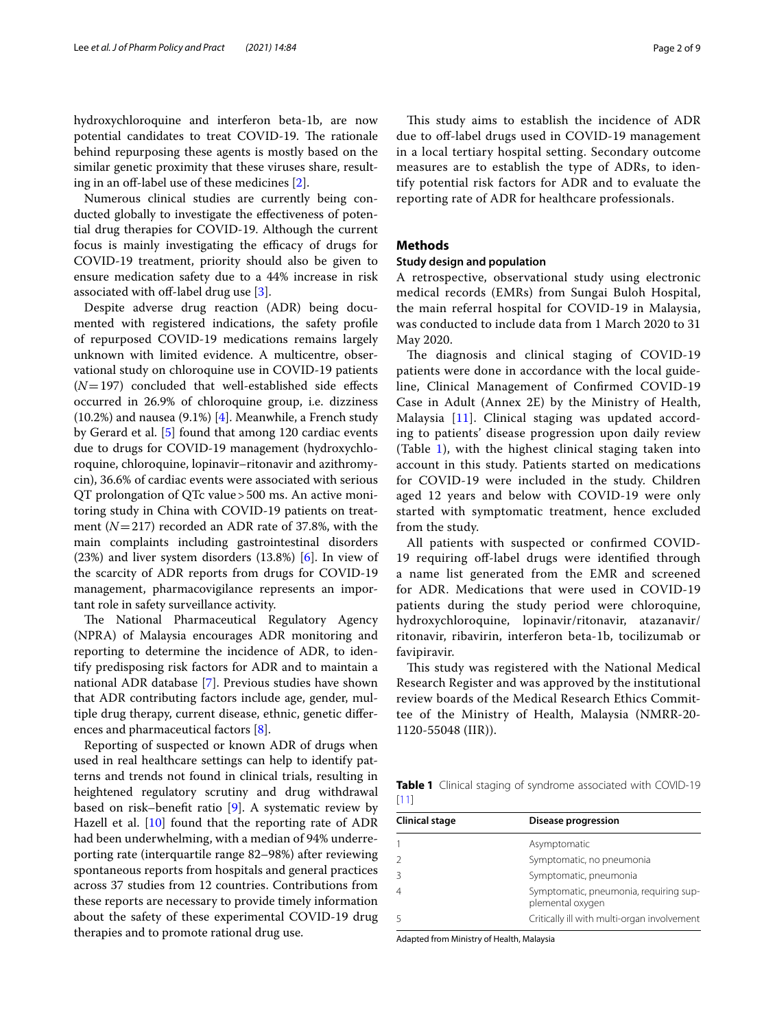hydroxychloroquine and interferon beta-1b, are now potential candidates to treat COVID-19. The rationale behind repurposing these agents is mostly based on the similar genetic proximity that these viruses share, result-ing in an off-label use of these medicines [[2\]](#page-7-1).

Numerous clinical studies are currently being conducted globally to investigate the efectiveness of potential drug therapies for COVID-19. Although the current focus is mainly investigating the efficacy of drugs for COVID-19 treatment, priority should also be given to ensure medication safety due to a 44% increase in risk associated with off-label drug use  $[3]$  $[3]$ .

Despite adverse drug reaction (ADR) being documented with registered indications, the safety profle of repurposed COVID-19 medications remains largely unknown with limited evidence. A multicentre, observational study on chloroquine use in COVID-19 patients  $(N=197)$  concluded that well-established side effects occurred in 26.9% of chloroquine group, i.e. dizziness  $(10.2%)$  and nausea  $(9.1%)$  [\[4](#page-7-3)]. Meanwhile, a French study by Gerard et al. [[5\]](#page-8-0) found that among 120 cardiac events due to drugs for COVID-19 management (hydroxychloroquine, chloroquine, lopinavir–ritonavir and azithromycin), 36.6% of cardiac events were associated with serious QT prolongation of QTc value>500 ms. An active monitoring study in China with COVID-19 patients on treatment (*N*=217) recorded an ADR rate of 37.8%, with the main complaints including gastrointestinal disorders  $(23%)$  and liver system disorders  $(13.8%)$  [[6\]](#page-8-1). In view of the scarcity of ADR reports from drugs for COVID-19 management, pharmacovigilance represents an important role in safety surveillance activity.

The National Pharmaceutical Regulatory Agency (NPRA) of Malaysia encourages ADR monitoring and reporting to determine the incidence of ADR, to identify predisposing risk factors for ADR and to maintain a national ADR database [\[7](#page-8-2)]. Previous studies have shown that ADR contributing factors include age, gender, multiple drug therapy, current disease, ethnic, genetic diferences and pharmaceutical factors [\[8\]](#page-8-3).

Reporting of suspected or known ADR of drugs when used in real healthcare settings can help to identify patterns and trends not found in clinical trials, resulting in heightened regulatory scrutiny and drug withdrawal based on risk–beneft ratio [[9\]](#page-8-4). A systematic review by Hazell et al.  $[10]$  $[10]$  found that the reporting rate of ADR had been underwhelming, with a median of 94% underreporting rate (interquartile range 82–98%) after reviewing spontaneous reports from hospitals and general practices across 37 studies from 12 countries. Contributions from these reports are necessary to provide timely information about the safety of these experimental COVID-19 drug therapies and to promote rational drug use.

This study aims to establish the incidence of ADR due to of-label drugs used in COVID-19 management in a local tertiary hospital setting. Secondary outcome measures are to establish the type of ADRs, to identify potential risk factors for ADR and to evaluate the reporting rate of ADR for healthcare professionals.

#### **Methods**

#### **Study design and population**

A retrospective, observational study using electronic medical records (EMRs) from Sungai Buloh Hospital, the main referral hospital for COVID-19 in Malaysia, was conducted to include data from 1 March 2020 to 31 May 2020.

The diagnosis and clinical staging of COVID-19 patients were done in accordance with the local guideline, Clinical Management of Confrmed COVID-19 Case in Adult (Annex 2E) by the Ministry of Health, Malaysia [[11\]](#page-8-6). Clinical staging was updated according to patients' disease progression upon daily review (Table  $1$ ), with the highest clinical staging taken into account in this study. Patients started on medications for COVID-19 were included in the study. Children aged 12 years and below with COVID-19 were only started with symptomatic treatment, hence excluded from the study.

All patients with suspected or confrmed COVID-19 requiring off-label drugs were identified through a name list generated from the EMR and screened for ADR. Medications that were used in COVID-19 patients during the study period were chloroquine, hydroxychloroquine, lopinavir/ritonavir, atazanavir/ ritonavir, ribavirin, interferon beta-1b, tocilizumab or favipiravir.

This study was registered with the National Medical Research Register and was approved by the institutional review boards of the Medical Research Ethics Committee of the Ministry of Health, Malaysia (NMRR-20- 1120-55048 (IIR)).

<span id="page-1-0"></span>**Table 1** Clinical staging of syndrome associated with COVID-19 [\[11\]](#page-8-6)

| Clinical stage | Disease progression                                        |
|----------------|------------------------------------------------------------|
|                | Asymptomatic                                               |
|                | Symptomatic, no pneumonia                                  |
|                | Symptomatic, pneumonia                                     |
|                | Symptomatic, pneumonia, requiring sup-<br>plemental oxygen |
|                | Critically ill with multi-organ involvement                |

Adapted from Ministry of Health, Malaysia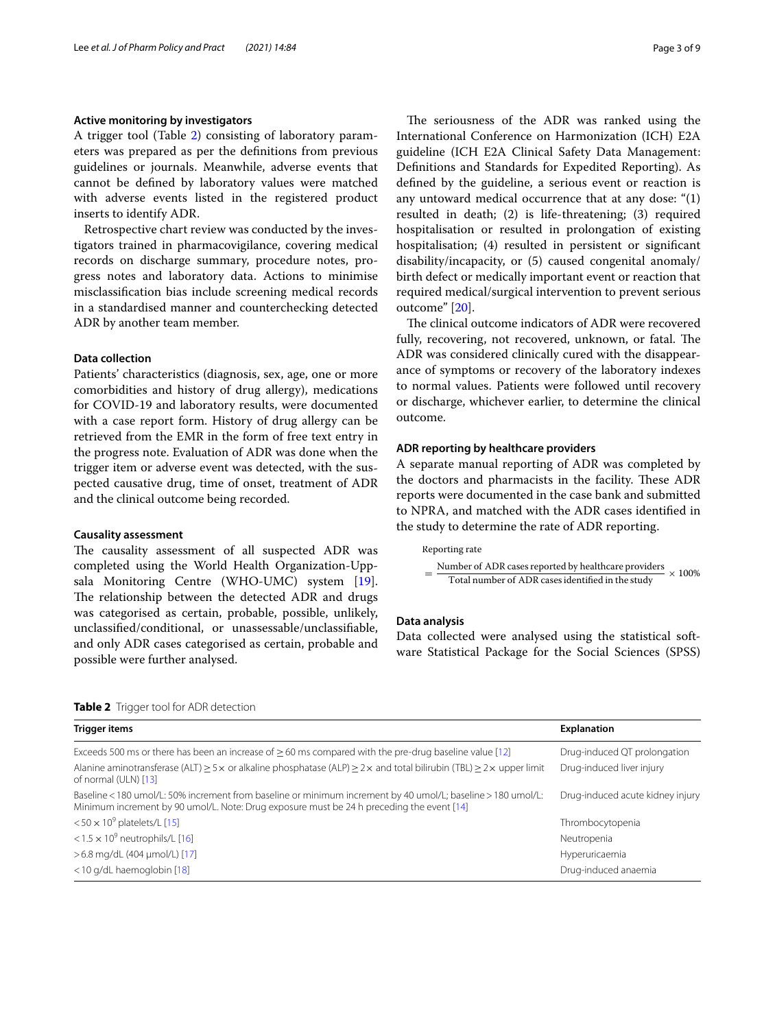#### **Active monitoring by investigators**

A trigger tool (Table [2\)](#page-2-0) consisting of laboratory parameters was prepared as per the defnitions from previous guidelines or journals. Meanwhile, adverse events that cannot be defned by laboratory values were matched with adverse events listed in the registered product inserts to identify ADR.

Retrospective chart review was conducted by the investigators trained in pharmacovigilance, covering medical records on discharge summary, procedure notes, progress notes and laboratory data. Actions to minimise misclassifcation bias include screening medical records in a standardised manner and counterchecking detected ADR by another team member.

#### **Data collection**

Patients' characteristics (diagnosis, sex, age, one or more comorbidities and history of drug allergy), medications for COVID-19 and laboratory results, were documented with a case report form. History of drug allergy can be retrieved from the EMR in the form of free text entry in the progress note. Evaluation of ADR was done when the trigger item or adverse event was detected, with the suspected causative drug, time of onset, treatment of ADR and the clinical outcome being recorded.

#### **Causality assessment**

The causality assessment of all suspected ADR was completed using the World Health Organization-Uppsala Monitoring Centre (WHO-UMC) system [\[19](#page-8-7)]. The relationship between the detected ADR and drugs was categorised as certain, probable, possible, unlikely, unclassifed/conditional, or unassessable/unclassifable, and only ADR cases categorised as certain, probable and possible were further analysed.

The seriousness of the ADR was ranked using the International Conference on Harmonization (ICH) E2A guideline (ICH E2A Clinical Safety Data Management: Defnitions and Standards for Expedited Reporting). As defned by the guideline, a serious event or reaction is any untoward medical occurrence that at any dose: "(1) resulted in death; (2) is life-threatening; (3) required hospitalisation or resulted in prolongation of existing hospitalisation; (4) resulted in persistent or signifcant disability/incapacity, or (5) caused congenital anomaly/ birth defect or medically important event or reaction that required medical/surgical intervention to prevent serious outcome" [[20\]](#page-8-8).

The clinical outcome indicators of ADR were recovered fully, recovering, not recovered, unknown, or fatal. The ADR was considered clinically cured with the disappearance of symptoms or recovery of the laboratory indexes to normal values. Patients were followed until recovery or discharge, whichever earlier, to determine the clinical outcome.

#### **ADR reporting by healthcare providers**

A separate manual reporting of ADR was completed by the doctors and pharmacists in the facility. These ADR reports were documented in the case bank and submitted to NPRA, and matched with the ADR cases identifed in the study to determine the rate of ADR reporting.

#### Reporting rate

 $=\frac{\text{Number of ADR cases reported by healthcare providers}}{\text{Total number of ADR cases identified in the study}} \times 100\%$ 

#### **Data analysis**

Data collected were analysed using the statistical software Statistical Package for the Social Sciences (SPSS)

<span id="page-2-0"></span>**Table 2** Trigger tool for ADR detection

| Trigger items                                                                                                                                                                                             | <b>Explanation</b>               |
|-----------------------------------------------------------------------------------------------------------------------------------------------------------------------------------------------------------|----------------------------------|
| Exceeds 500 ms or there has been an increase of $\geq$ 60 ms compared with the pre-drug baseline value [12]                                                                                               | Drug-induced QT prolongation     |
| Alanine aminotransferase (ALT) $\geq$ 5 x or alkaline phosphatase (ALP) $\geq$ 2 x and total bilirubin (TBL) $\geq$ 2 x upper limit<br>of normal (ULN) [13]                                               | Drug-induced liver injury        |
| Baseline < 180 umol/L: 50% increment from baseline or minimum increment by 40 umol/L; baseline > 180 umol/L;<br>Minimum increment by 90 umol/L. Note: Drug exposure must be 24 h preceding the event [14] | Drug-induced acute kidney injury |
| $<$ 50 $\times$ 10 <sup>9</sup> platelets/L [15]                                                                                                                                                          | Thrombocytopenia                 |
| <1.5 $\times$ 10 <sup>9</sup> neutrophils/L [16]                                                                                                                                                          | Neutropenia                      |
| >6.8 mg/dL (404 µmol/L) [17]                                                                                                                                                                              | Hyperuricaemia                   |
| <10 g/dL haemoglobin [18]                                                                                                                                                                                 | Drug-induced anaemia             |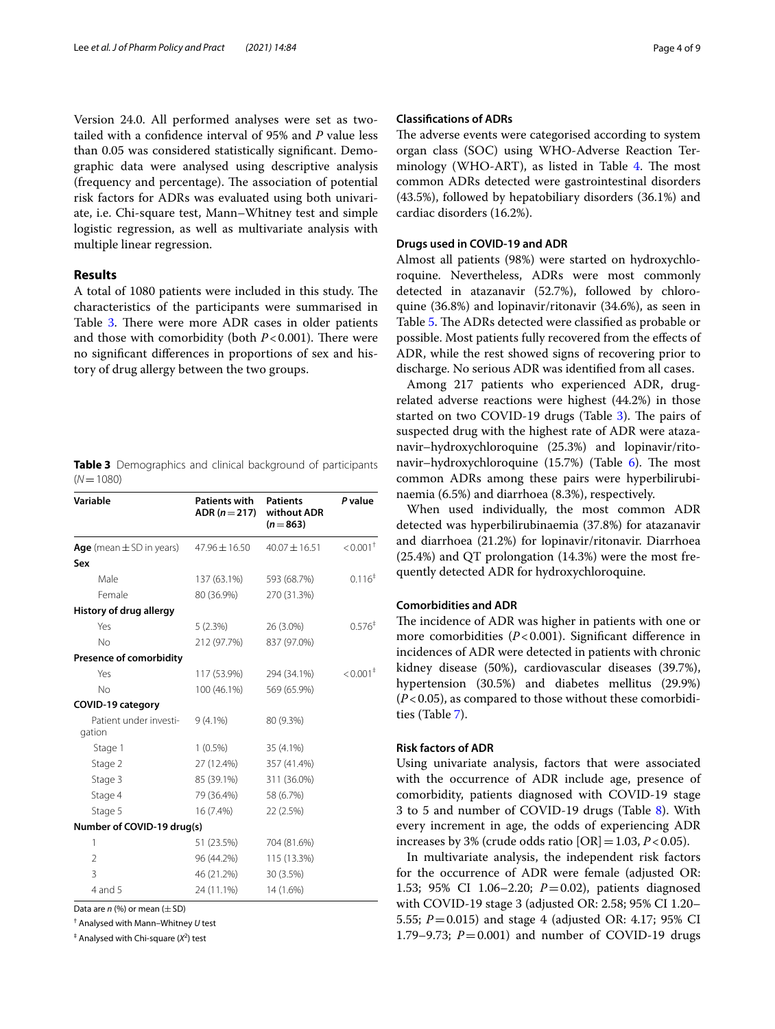Version 24.0. All performed analyses were set as twotailed with a confdence interval of 95% and *P* value less than 0.05 was considered statistically signifcant. Demographic data were analysed using descriptive analysis (frequency and percentage). The association of potential risk factors for ADRs was evaluated using both univariate, i.e. Chi-square test, Mann–Whitney test and simple logistic regression, as well as multivariate analysis with multiple linear regression.

#### **Results**

A total of 1080 patients were included in this study. The characteristics of the participants were summarised in Table [3.](#page-3-0) There were more ADR cases in older patients and those with comorbidity (both  $P < 0.001$ ). There were no signifcant diferences in proportions of sex and history of drug allergy between the two groups.

<span id="page-3-0"></span>

|              | <b>Table 3</b> Demographics and clinical background of participants |  |  |
|--------------|---------------------------------------------------------------------|--|--|
| $(N = 1080)$ |                                                                     |  |  |

| Variable                         | Patients with<br>$ADR (n = 217)$ | <b>Patients</b><br>without ADR<br>$(n=863)$ | P value                |
|----------------------------------|----------------------------------|---------------------------------------------|------------------------|
| Age (mean $\pm$ SD in years)     | $47.96 \pm 16.50$                | $40.07 + 16.51$                             | $< 0.001$ <sup>+</sup> |
| Sex                              |                                  |                                             |                        |
| Male                             | 137 (63.1%)                      | 593 (68.7%)                                 | 0.116 <sup>‡</sup>     |
| Female                           | 80 (36.9%)                       | 270 (31.3%)                                 |                        |
| History of drug allergy          |                                  |                                             |                        |
| Yes                              | 5(2.3%)                          | 26 (3.0%)                                   | 0.576 <sup>†</sup>     |
| No                               | 212 (97.7%)                      | 837 (97.0%)                                 |                        |
| <b>Presence of comorbidity</b>   |                                  |                                             |                        |
| Yes                              | 117 (53.9%)                      | 294 (34.1%)                                 | $< 0.001$ <sup>+</sup> |
| No                               | 100 (46.1%)                      | 569 (65.9%)                                 |                        |
| <b>COVID-19 category</b>         |                                  |                                             |                        |
| Patient under investi-<br>gation | $9(4.1\%)$                       | 80 (9.3%)                                   |                        |
| Stage 1                          | $1(0.5\%)$                       | 35 (4.1%)                                   |                        |
| Stage 2                          | 27 (12.4%)                       | 357 (41.4%)                                 |                        |
| Stage 3                          | 85 (39.1%)                       | 311 (36.0%)                                 |                        |
| Stage 4                          | 79 (36.4%)                       | 58 (6.7%)                                   |                        |
| Stage 5                          | 16 (7.4%)                        | 22 (2.5%)                                   |                        |
| Number of COVID-19 drug(s)       |                                  |                                             |                        |
| 1                                | 51 (23.5%)                       | 704 (81.6%)                                 |                        |
| $\overline{2}$                   | 96 (44.2%)                       | 115 (13.3%)                                 |                        |
| 3                                | 46 (21.2%)                       | 30 (3.5%)                                   |                        |
| 4 and 5                          | 24 (11.1%)                       | 14 (1.6%)                                   |                        |

Data are *n* (%) or mean ( $\pm$  SD)

† Analysed with Mann–Whitney *U* test

<sup>‡</sup> Analysed with Chi-square (X<sup>2</sup>) test

#### **Classifcations of ADRs**

The adverse events were categorised according to system organ class (SOC) using WHO-Adverse Reaction Terminology (WHO-ART), as listed in Table  $4$ . The most common ADRs detected were gastrointestinal disorders (43.5%), followed by hepatobiliary disorders (36.1%) and cardiac disorders (16.2%).

### **Drugs used in COVID‑19 and ADR**

Almost all patients (98%) were started on hydroxychloroquine. Nevertheless, ADRs were most commonly detected in atazanavir (52.7%), followed by chloroquine (36.8%) and lopinavir/ritonavir (34.6%), as seen in Table [5](#page-4-1). The ADRs detected were classified as probable or possible. Most patients fully recovered from the efects of ADR, while the rest showed signs of recovering prior to discharge. No serious ADR was identifed from all cases.

Among 217 patients who experienced ADR, drugrelated adverse reactions were highest (44.2%) in those started on two COVID-19 drugs (Table  $3$ ). The pairs of suspected drug with the highest rate of ADR were atazanavir–hydroxychloroquine (25.3%) and lopinavir/rito-navir–hydroxychloroquine (15.7%) (Table [6](#page-5-0)). The most common ADRs among these pairs were hyperbilirubinaemia (6.5%) and diarrhoea (8.3%), respectively.

When used individually, the most common ADR detected was hyperbilirubinaemia (37.8%) for atazanavir and diarrhoea (21.2%) for lopinavir/ritonavir. Diarrhoea (25.4%) and QT prolongation (14.3%) were the most frequently detected ADR for hydroxychloroquine.

#### **Comorbidities and ADR**

The incidence of ADR was higher in patients with one or more comorbidities ( $P < 0.001$ ). Significant difference in incidences of ADR were detected in patients with chronic kidney disease (50%), cardiovascular diseases (39.7%), hypertension (30.5%) and diabetes mellitus (29.9%) (*P*<0.05), as compared to those without these comorbidities (Table [7](#page-5-1)).

#### **Risk factors of ADR**

Using univariate analysis, factors that were associated with the occurrence of ADR include age, presence of comorbidity, patients diagnosed with COVID-19 stage 3 to 5 and number of COVID-19 drugs (Table [8\)](#page-6-0). With every increment in age, the odds of experiencing ADR increases by 3% (crude odds ratio  $[OR] = 1.03$ ,  $P < 0.05$ ).

In multivariate analysis, the independent risk factors for the occurrence of ADR were female (adjusted OR: 1.53; 95% CI 1.06–2.20; *P*=0.02), patients diagnosed with COVID-19 stage 3 (adjusted OR: 2.58; 95% CI 1.20– 5.55; *P*=0.015) and stage 4 (adjusted OR: 4.17; 95% CI 1.79–9.73; *P*=0.001) and number of COVID-19 drugs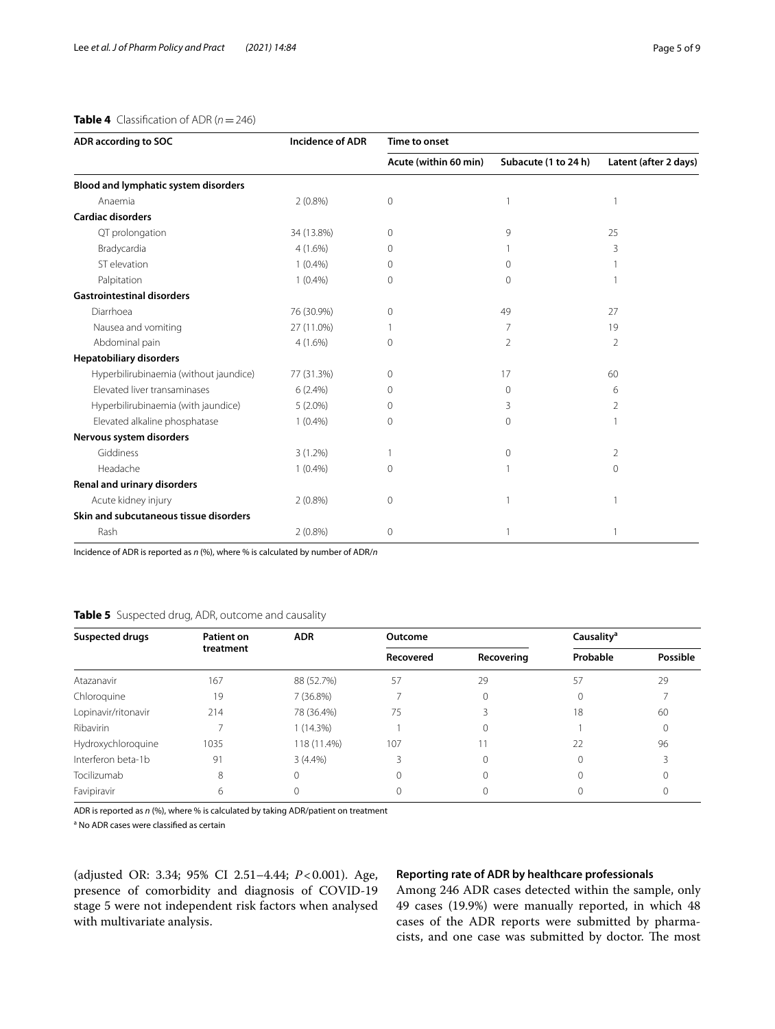**ADR according to SOC Incidence of ADR Time to onset**

#### <span id="page-4-0"></span>**Table 4** Classification of ADR ( $n = 246$ )

|                                        |            | Acute (within 60 min) | Subacute (1 to 24 h) | Latent (after 2 days) |
|----------------------------------------|------------|-----------------------|----------------------|-----------------------|
| Blood and lymphatic system disorders   |            |                       |                      |                       |
| Anaemia                                | $2(0.8\%)$ | 0                     |                      |                       |
| <b>Cardiac disorders</b>               |            |                       |                      |                       |
| QT prolongation                        | 34 (13.8%) | 0                     | 9                    | 25                    |
| Bradycardia                            | $4(1.6\%)$ | 0                     |                      | 3                     |
| ST elevation                           | $1(0.4\%)$ | 0                     | $\Omega$             |                       |
| Palpitation                            | $1(0.4\%)$ | 0                     | 0                    |                       |
| <b>Gastrointestinal disorders</b>      |            |                       |                      |                       |
| Diarrhoea                              | 76 (30.9%) | 0                     | 49                   | 27                    |
| Nausea and vomiting                    | 27 (11.0%) |                       | $\overline{7}$       | 19                    |
| Abdominal pain                         | $4(1.6\%)$ | 0                     | $\overline{2}$       |                       |
| <b>Hepatobiliary disorders</b>         |            |                       |                      |                       |
| Hyperbilirubinaemia (without jaundice) | 77 (31.3%) | 0                     | 17                   | 60                    |

 Elevated liver transaminases 6 (2.4%) 0 0 6 Hyperbilirubinaemia (with jaundice) 5 (2.0%) 0 3 2 Elevated alkaline phosphatase  $1 \quad (0.4\%)$  0 0 0 1

Giddiness and  $(1.2\%)$  1 and  $(1.2\%)$  1 and  $(1.2\%)$  1 and  $(1.2\%)$  1 and  $(1.2\%)$  1 and  $(1.2\%)$  1 and  $(1.2\%)$  1 and  $(1.2\%)$  1 and  $(1.2\%)$  1 and  $(1.2\%)$  1 and  $(1.2\%)$  1 and  $(1.2\%)$  1 and  $(1.2\%)$  1 and  $(1.2\%)$  1 a Headache 1 (0.4%) 0 1 0

Acute kidney injury 2 (0.8%) 0 1 1

Rash 2 (0.8%) 0 1 1

Incidence of ADR is reported as *n* (%), where % is calculated by number of ADR/*n*

#### <span id="page-4-1"></span>**Table 5** Suspected drug, ADR, outcome and causality

| <b>Suspected drugs</b> | <b>Patient on</b><br>treatment | <b>ADR</b>  | Outcome   |            | Causality <sup>a</sup> |          |
|------------------------|--------------------------------|-------------|-----------|------------|------------------------|----------|
|                        |                                |             | Recovered | Recovering | Probable               | Possible |
| Atazanavir             | 167                            | 88 (52.7%)  | 57        | 29         | 57                     | 29       |
| Chloroquine            | 19                             | 7(36.8%)    |           |            | 0                      |          |
| Lopinavir/ritonavir    | 214                            | 78 (36.4%)  | 75        |            | 18                     | 60       |
| Ribavirin              |                                | $1(14.3\%)$ |           |            |                        |          |
| Hydroxychloroquine     | 1035                           | 118 (11.4%) | 107       |            | 22                     | 96       |
| Interferon beta-1b     | 91                             | $3(4.4\%)$  | Ρ         |            | $\Omega$               |          |
| Tocilizumab            | 8                              | $\Omega$    | $\Omega$  |            |                        |          |
| Favipiravir            | 6                              | 0           | $\Omega$  |            |                        |          |

ADR is reported as *n* (%), where % is calculated by taking ADR/patient on treatment

<sup>a</sup> No ADR cases were classified as certain

**Nervous system disorders**

**Renal and urinary disorders**

**Skin and subcutaneous tissue disorders**

(adjusted OR: 3.34; 95% CI 2.51–4.44; *P*<0.001). Age, presence of comorbidity and diagnosis of COVID-19 stage 5 were not independent risk factors when analysed with multivariate analysis.

#### **Reporting rate of ADR by healthcare professionals**

Among 246 ADR cases detected within the sample, only 49 cases (19.9%) were manually reported, in which 48 cases of the ADR reports were submitted by pharmacists, and one case was submitted by doctor. The most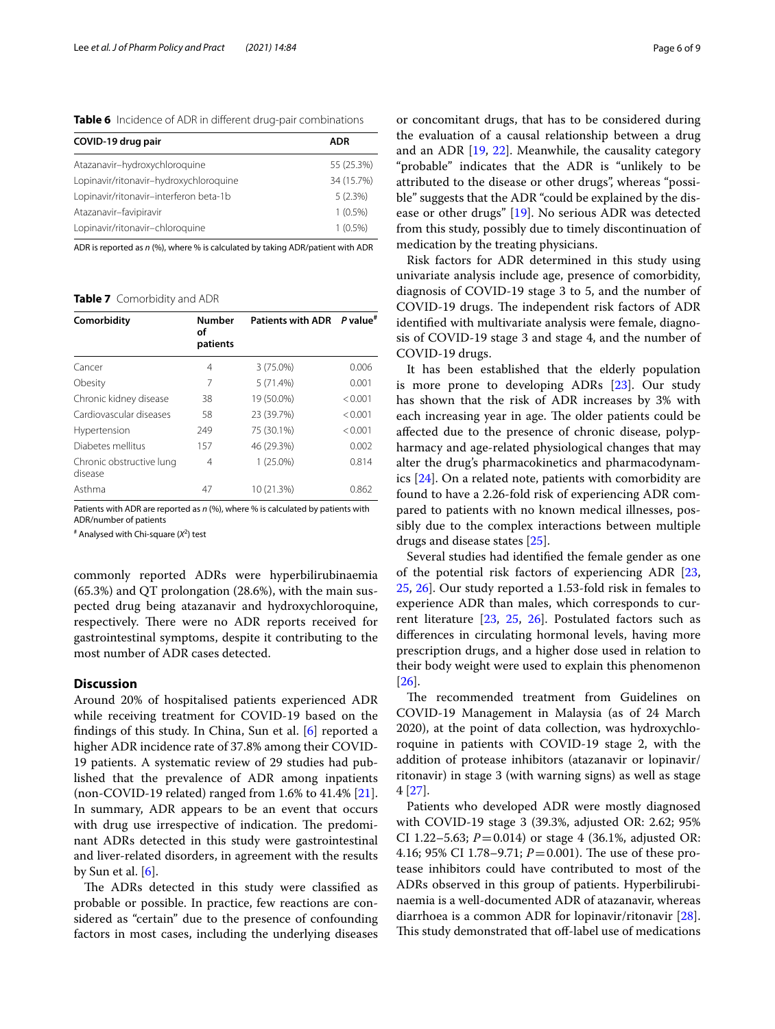<span id="page-5-0"></span>**Table 6** Incidence of ADR in diferent drug-pair combinations

| COVID-19 drug pair                     | ADR        |
|----------------------------------------|------------|
| Atazanavir-hydroxychloroquine          | 55 (25.3%) |
| Lopinavir/ritonavir-hydroxychloroquine | 34 (15.7%) |
| Lopinavir/ritonavir-interferon beta-1b | 5(2.3%)    |
| Atazanavir-favipiravir                 | $1(0.5\%)$ |
| Lopinavir/ritonavir-chloroquine        | $1(0.5\%)$ |

ADR is reported as *n* (%), where % is calculated by taking ADR/patient with ADR

<span id="page-5-1"></span>**Table 7** Comorbidity and ADR

| Comorbidity                         | <b>Number</b><br>οf<br>patients | Patients with ADR P value <sup>#</sup> |         |
|-------------------------------------|---------------------------------|----------------------------------------|---------|
| Cancer                              | 4                               | 3 (75.0%)                              | 0.006   |
| Obesity                             | 7                               | $5(71.4\%)$                            | 0.001   |
| Chronic kidney disease              | 38                              | 19 (50.0%)                             | < 0.001 |
| Cardiovascular diseases             | 58                              | 23 (39.7%)                             | < 0.001 |
| Hypertension                        | 249                             | 75 (30.1%)                             | < 0.001 |
| Diabetes mellitus                   | 157                             | 46 (29.3%)                             | 0.002   |
| Chronic obstructive lung<br>disease | 4                               | $1(25.0\%)$                            | 0.814   |
| Asthma                              | 47                              | 10 (21.3%)                             | 0.862   |

Patients with ADR are reported as *n* (%), where % is calculated by patients with ADR/number of patients

# Analysed with Chi-square (*X*<sup>2</sup> ) test

commonly reported ADRs were hyperbilirubinaemia (65.3%) and QT prolongation (28.6%), with the main suspected drug being atazanavir and hydroxychloroquine, respectively. There were no ADR reports received for gastrointestinal symptoms, despite it contributing to the most number of ADR cases detected.

#### **Discussion**

Around 20% of hospitalised patients experienced ADR while receiving treatment for COVID-19 based on the fndings of this study. In China, Sun et al. [\[6](#page-8-1)] reported a higher ADR incidence rate of 37.8% among their COVID-19 patients. A systematic review of 29 studies had published that the prevalence of ADR among inpatients (non-COVID-19 related) ranged from 1.6% to 41.4% [\[21](#page-8-16)]. In summary, ADR appears to be an event that occurs with drug use irrespective of indication. The predominant ADRs detected in this study were gastrointestinal and liver-related disorders, in agreement with the results by Sun et al. [[6](#page-8-1)].

The ADRs detected in this study were classified as probable or possible. In practice, few reactions are considered as "certain" due to the presence of confounding factors in most cases, including the underlying diseases or concomitant drugs, that has to be considered during the evaluation of a causal relationship between a drug and an ADR [\[19](#page-8-7), [22\]](#page-8-17). Meanwhile, the causality category "probable" indicates that the ADR is "unlikely to be attributed to the disease or other drugs", whereas "possible" suggests that the ADR "could be explained by the disease or other drugs" [\[19](#page-8-7)]. No serious ADR was detected from this study, possibly due to timely discontinuation of medication by the treating physicians.

Risk factors for ADR determined in this study using univariate analysis include age, presence of comorbidity, diagnosis of COVID-19 stage 3 to 5, and the number of COVID-19 drugs. The independent risk factors of ADR identifed with multivariate analysis were female, diagnosis of COVID-19 stage 3 and stage 4, and the number of COVID-19 drugs.

It has been established that the elderly population is more prone to developing ADRs [[23](#page-8-18)]. Our study has shown that the risk of ADR increases by 3% with each increasing year in age. The older patients could be afected due to the presence of chronic disease, polypharmacy and age-related physiological changes that may alter the drug's pharmacokinetics and pharmacodynamics [[24](#page-8-19)]. On a related note, patients with comorbidity are found to have a 2.26-fold risk of experiencing ADR compared to patients with no known medical illnesses, possibly due to the complex interactions between multiple drugs and disease states [[25](#page-8-20)].

Several studies had identifed the female gender as one of the potential risk factors of experiencing ADR [[23](#page-8-18), [25,](#page-8-20) [26](#page-8-21)]. Our study reported a 1.53-fold risk in females to experience ADR than males, which corresponds to current literature [[23,](#page-8-18) [25,](#page-8-20) [26\]](#page-8-21). Postulated factors such as diferences in circulating hormonal levels, having more prescription drugs, and a higher dose used in relation to their body weight were used to explain this phenomenon [[26\]](#page-8-21).

The recommended treatment from Guidelines on COVID-19 Management in Malaysia (as of 24 March 2020), at the point of data collection, was hydroxychloroquine in patients with COVID-19 stage 2, with the addition of protease inhibitors (atazanavir or lopinavir/ ritonavir) in stage 3 (with warning signs) as well as stage 4 [\[27\]](#page-8-22).

Patients who developed ADR were mostly diagnosed with COVID-19 stage 3 (39.3%, adjusted OR: 2.62; 95% CI 1.22–5.63;  $P = 0.014$ ) or stage 4 (36.1%, adjusted OR: 4.16; 95% CI 1.78–9.71;  $P = 0.001$ ). The use of these protease inhibitors could have contributed to most of the ADRs observed in this group of patients. Hyperbilirubinaemia is a well-documented ADR of atazanavir, whereas diarrhoea is a common ADR for lopinavir/ritonavir [\[28](#page-8-23)]. This study demonstrated that off-label use of medications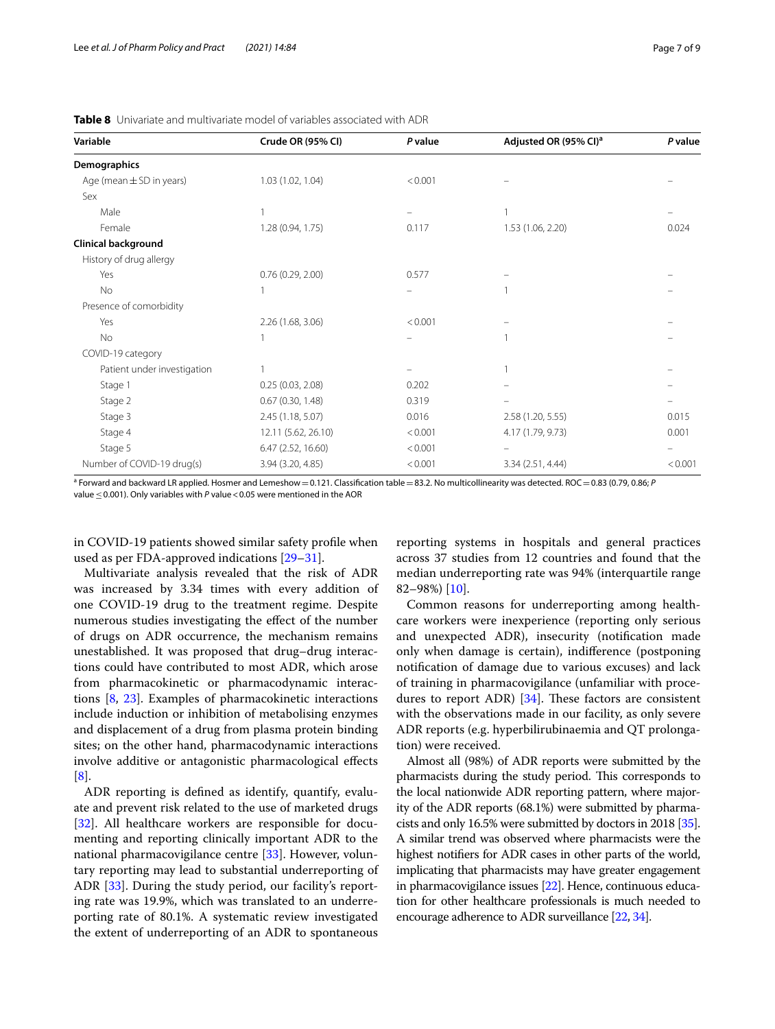| Variable                     | Crude OR (95% CI)   | P value | Adjusted OR (95% CI) <sup>a</sup> | P value |
|------------------------------|---------------------|---------|-----------------------------------|---------|
| Demographics                 |                     |         |                                   |         |
| Age (mean $\pm$ SD in years) | 1.03 (1.02, 1.04)   | < 0.001 |                                   |         |
| Sex                          |                     |         |                                   |         |
| Male                         |                     |         |                                   |         |
| Female                       | 1.28 (0.94, 1.75)   | 0.117   | 1.53 (1.06, 2.20)                 | 0.024   |
| <b>Clinical background</b>   |                     |         |                                   |         |
| History of drug allergy      |                     |         |                                   |         |
| Yes                          | 0.76(0.29, 2.00)    | 0.577   |                                   |         |
| No                           |                     |         |                                   |         |
| Presence of comorbidity      |                     |         |                                   |         |
| Yes                          | 2.26 (1.68, 3.06)   | < 0.001 |                                   |         |
| <b>No</b>                    |                     |         |                                   |         |
| COVID-19 category            |                     |         |                                   |         |
| Patient under investigation  |                     |         |                                   |         |
| Stage 1                      | 0.25(0.03, 2.08)    | 0.202   |                                   |         |
| Stage 2                      | 0.67(0.30, 1.48)    | 0.319   |                                   |         |
| Stage 3                      | 2.45 (1.18, 5.07)   | 0.016   | 2.58 (1.20, 5.55)                 | 0.015   |
| Stage 4                      | 12.11 (5.62, 26.10) | < 0.001 | 4.17 (1.79, 9.73)                 | 0.001   |
| Stage 5                      | 6.47 (2.52, 16.60)  | < 0.001 |                                   |         |
| Number of COVID-19 drug(s)   | 3.94 (3.20, 4.85)   | < 0.001 | 3.34 (2.51, 4.44)                 | < 0.001 |

<span id="page-6-0"></span>**Table 8** Univariate and multivariate model of variables associated with ADR

a Forward and backward LR applied. Hosmer and Lemeshow=0.121. Classifcation table=83.2. No multicollinearity was detected. ROC=0.83 (0.79, 0.86; *P* value ≤0.001). Only variables with *P* value <0.05 were mentioned in the AOR

in COVID-19 patients showed similar safety profle when used as per FDA-approved indications [[29](#page-8-24)[–31](#page-8-25)].

Multivariate analysis revealed that the risk of ADR was increased by 3.34 times with every addition of one COVID-19 drug to the treatment regime. Despite numerous studies investigating the efect of the number of drugs on ADR occurrence, the mechanism remains unestablished. It was proposed that drug–drug interactions could have contributed to most ADR, which arose from pharmacokinetic or pharmacodynamic interactions [\[8,](#page-8-3) [23\]](#page-8-18). Examples of pharmacokinetic interactions include induction or inhibition of metabolising enzymes and displacement of a drug from plasma protein binding sites; on the other hand, pharmacodynamic interactions involve additive or antagonistic pharmacological efects [[8\]](#page-8-3).

ADR reporting is defned as identify, quantify, evaluate and prevent risk related to the use of marketed drugs [[32\]](#page-8-26). All healthcare workers are responsible for documenting and reporting clinically important ADR to the national pharmacovigilance centre [\[33](#page-8-27)]. However, voluntary reporting may lead to substantial underreporting of ADR [\[33](#page-8-27)]. During the study period, our facility's reporting rate was 19.9%, which was translated to an underreporting rate of 80.1%. A systematic review investigated the extent of underreporting of an ADR to spontaneous reporting systems in hospitals and general practices across 37 studies from 12 countries and found that the median underreporting rate was 94% (interquartile range 82–98%) [[10\]](#page-8-5).

Common reasons for underreporting among healthcare workers were inexperience (reporting only serious and unexpected ADR), insecurity (notifcation made only when damage is certain), indiference (postponing notifcation of damage due to various excuses) and lack of training in pharmacovigilance (unfamiliar with procedures to report ADR)  $[34]$  $[34]$ . These factors are consistent with the observations made in our facility, as only severe ADR reports (e.g. hyperbilirubinaemia and QT prolongation) were received.

Almost all (98%) of ADR reports were submitted by the pharmacists during the study period. This corresponds to the local nationwide ADR reporting pattern, where majority of the ADR reports (68.1%) were submitted by pharmacists and only 16.5% were submitted by doctors in 2018 [\[35](#page-8-29)]. A similar trend was observed where pharmacists were the highest notifers for ADR cases in other parts of the world, implicating that pharmacists may have greater engagement in pharmacovigilance issues [\[22\]](#page-8-17). Hence, continuous education for other healthcare professionals is much needed to encourage adherence to ADR surveillance [\[22](#page-8-17), [34\]](#page-8-28).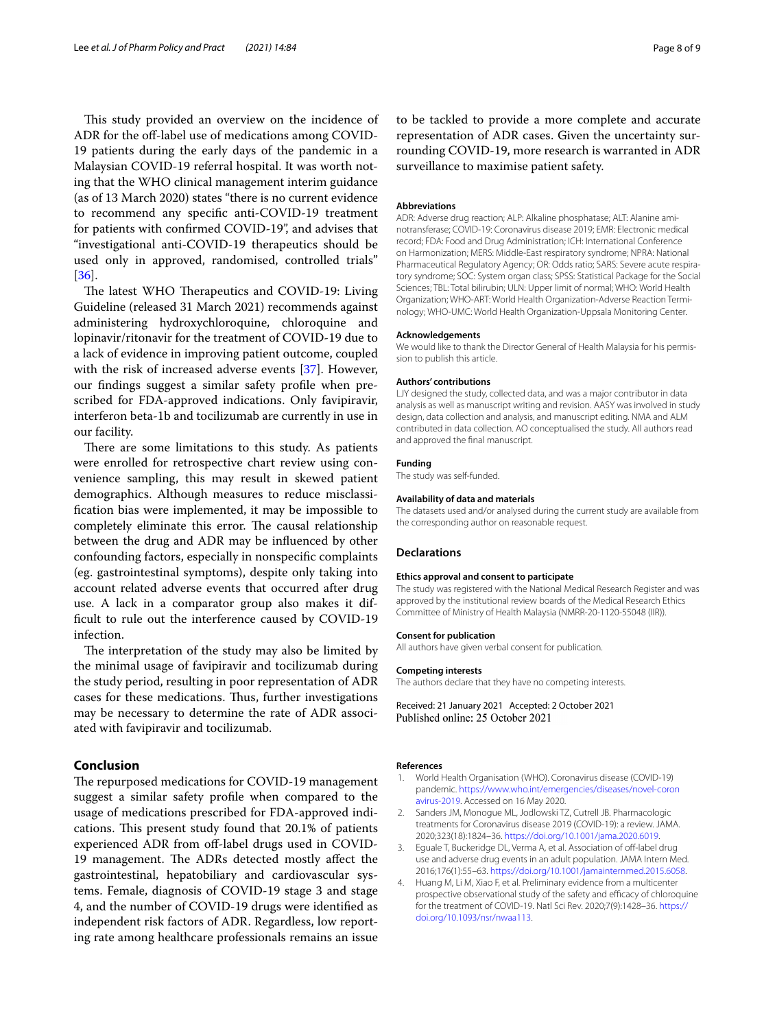This study provided an overview on the incidence of ADR for the off-label use of medications among COVID-19 patients during the early days of the pandemic in a Malaysian COVID-19 referral hospital. It was worth noting that the WHO clinical management interim guidance (as of 13 March 2020) states "there is no current evidence to recommend any specifc anti-COVID-19 treatment for patients with confrmed COVID-19", and advises that "investigational anti-COVID-19 therapeutics should be used only in approved, randomised, controlled trials" [[36\]](#page-8-30).

The latest WHO Therapeutics and COVID-19: Living Guideline (released 31 March 2021) recommends against administering hydroxychloroquine, chloroquine and lopinavir/ritonavir for the treatment of COVID-19 due to a lack of evidence in improving patient outcome, coupled with the risk of increased adverse events [[37](#page-8-31)]. However, our fndings suggest a similar safety profle when prescribed for FDA-approved indications. Only favipiravir, interferon beta-1b and tocilizumab are currently in use in our facility.

There are some limitations to this study. As patients were enrolled for retrospective chart review using convenience sampling, this may result in skewed patient demographics. Although measures to reduce misclassifcation bias were implemented, it may be impossible to completely eliminate this error. The causal relationship between the drug and ADR may be infuenced by other confounding factors, especially in nonspecifc complaints (eg. gastrointestinal symptoms), despite only taking into account related adverse events that occurred after drug use. A lack in a comparator group also makes it diffcult to rule out the interference caused by COVID-19 infection.

The interpretation of the study may also be limited by the minimal usage of favipiravir and tocilizumab during the study period, resulting in poor representation of ADR cases for these medications. Thus, further investigations may be necessary to determine the rate of ADR associated with favipiravir and tocilizumab.

#### **Conclusion**

The repurposed medications for COVID-19 management suggest a similar safety profle when compared to the usage of medications prescribed for FDA-approved indications. This present study found that 20.1% of patients experienced ADR from off-label drugs used in COVID-19 management. The ADRs detected mostly affect the gastrointestinal, hepatobiliary and cardiovascular systems. Female, diagnosis of COVID-19 stage 3 and stage 4, and the number of COVID-19 drugs were identifed as independent risk factors of ADR. Regardless, low reporting rate among healthcare professionals remains an issue to be tackled to provide a more complete and accurate representation of ADR cases. Given the uncertainty surrounding COVID-19, more research is warranted in ADR surveillance to maximise patient safety.

#### **Abbreviations**

ADR: Adverse drug reaction; ALP: Alkaline phosphatase; ALT: Alanine aminotransferase; COVID-19: Coronavirus disease 2019; EMR: Electronic medical record; FDA: Food and Drug Administration; ICH: International Conference on Harmonization; MERS: Middle-East respiratory syndrome; NPRA: National Pharmaceutical Regulatory Agency; OR: Odds ratio; SARS: Severe acute respiratory syndrome; SOC: System organ class; SPSS: Statistical Package for the Social Sciences; TBL: Total bilirubin; ULN: Upper limit of normal; WHO: World Health Organization; WHO-ART: World Health Organization-Adverse Reaction Terminology; WHO-UMC: World Health Organization-Uppsala Monitoring Center.

#### **Acknowledgements**

We would like to thank the Director General of Health Malaysia for his permission to publish this article.

#### **Authors' contributions**

LJY designed the study, collected data, and was a major contributor in data analysis as well as manuscript writing and revision. AASY was involved in study design, data collection and analysis, and manuscript editing. NMA and ALM contributed in data collection. AO conceptualised the study. All authors read and approved the fnal manuscript.

#### **Funding**

The study was self-funded.

#### **Availability of data and materials**

The datasets used and/or analysed during the current study are available from the corresponding author on reasonable request.

#### **Declarations**

#### **Ethics approval and consent to participate**

The study was registered with the National Medical Research Register and was approved by the institutional review boards of the Medical Research Ethics Committee of Ministry of Health Malaysia (NMRR-20-1120-55048 (IIR)).

#### **Consent for publication**

All authors have given verbal consent for publication.

#### **Competing interests**

The authors declare that they have no competing interests.

Received: 21 January 2021 Accepted: 2 October 2021

#### **References**

- <span id="page-7-0"></span>1. World Health Organisation (WHO). Coronavirus disease (COVID-19) pandemic. [https://www.who.int/emergencies/diseases/novel-coron](https://www.who.int/emergencies/diseases/novel-coronavirus-2019) [avirus-2019.](https://www.who.int/emergencies/diseases/novel-coronavirus-2019) Accessed on 16 May 2020.
- <span id="page-7-1"></span>2. Sanders JM, Monogue ML, Jodlowski TZ, Cutrell JB. Pharmacologic treatments for Coronavirus disease 2019 (COVID-19): a review. JAMA. 2020;323(18):1824–36. <https://doi.org/10.1001/jama.2020.6019>.
- <span id="page-7-2"></span>3. Equale T, Buckeridge DL, Verma A, et al. Association of off-label drug use and adverse drug events in an adult population. JAMA Intern Med. 2016;176(1):55–63. [https://doi.org/10.1001/jamainternmed.2015.6058.](https://doi.org/10.1001/jamainternmed.2015.6058)
- <span id="page-7-3"></span>4. Huang M, Li M, Xiao F, et al. Preliminary evidence from a multicenter prospective observational study of the safety and efficacy of chloroquine for the treatment of COVID-19. Natl Sci Rev. 2020;7(9):1428–36. [https://](https://doi.org/10.1093/nsr/nwaa113) [doi.org/10.1093/nsr/nwaa113](https://doi.org/10.1093/nsr/nwaa113).